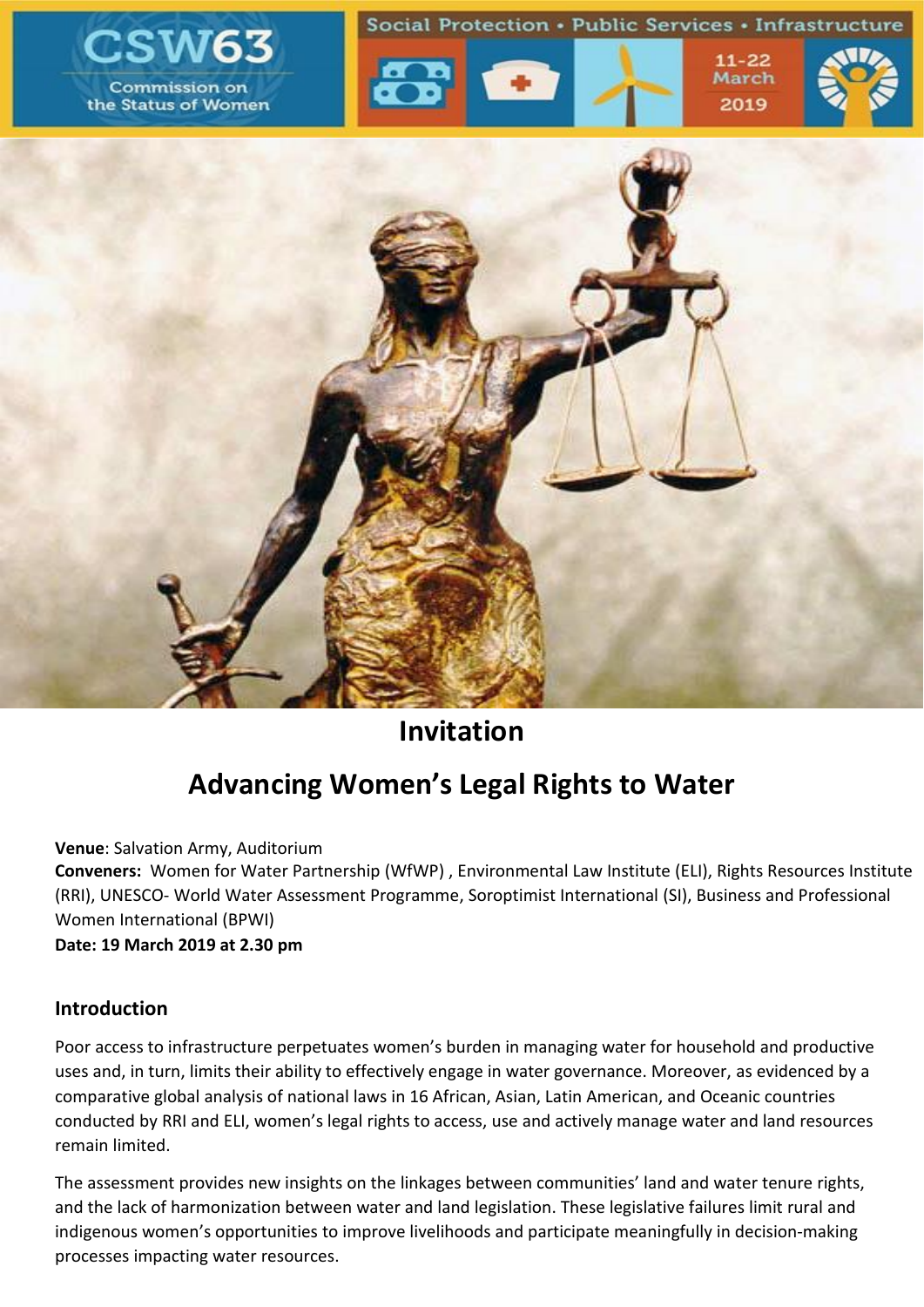

## **Invitation**

# **Advancing Women's Legal Rights to Water**

**Venue**: Salvation Army, Auditorium

**Conveners:** Women for Water Partnership (WfWP) , Environmental Law Institute (ELI), Rights Resources Institute (RRI), UNESCO- World Water Assessment Programme, Soroptimist International (SI), Business and Professional Women International (BPWI)

**Date: 19 March 2019 at 2.30 pm**

#### **Introduction**

Poor access to infrastructure perpetuates women's burden in managing water for household and productive uses and, in turn, limits their ability to effectively engage in water governance. Moreover, as evidenced by a comparative global analysis of national laws in 16 African, Asian, Latin American, and Oceanic countries conducted by RRI and ELI, women's legal rights to access, use and actively manage water and land resources remain limited.

The assessment provides new insights on the linkages between communities' land and water tenure rights, and the lack of harmonization between water and land legislation. These legislative failures limit rural and indigenous women's opportunities to improve livelihoods and participate meaningfully in decision-making processes impacting water resources.